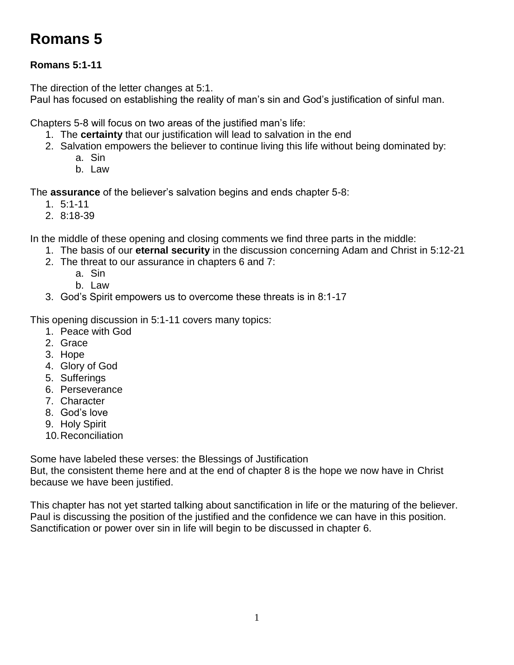# **Romans 5**

## **Romans 5:1-11**

The direction of the letter changes at 5:1.

Paul has focused on establishing the reality of man's sin and God's justification of sinful man.

Chapters 5-8 will focus on two areas of the justified man's life:

- 1. The **certainty** that our justification will lead to salvation in the end
- 2. Salvation empowers the believer to continue living this life without being dominated by:
	- a. Sin
	- b. Law

The **assurance** of the believer's salvation begins and ends chapter 5-8:

- 1. 5:1-11
- 2. 8:18-39

In the middle of these opening and closing comments we find three parts in the middle:

- 1. The basis of our **eternal security** in the discussion concerning Adam and Christ in 5:12-21
- 2. The threat to our assurance in chapters 6 and 7:
	- a. Sin
		- b. Law
- 3. God's Spirit empowers us to overcome these threats is in 8:1-17

This opening discussion in 5:1-11 covers many topics:

- 1. Peace with God
- 2. Grace
- 3. Hope
- 4. Glory of God
- 5. Sufferings
- 6. Perseverance
- 7. Character
- 8. God's love
- 9. Holy Spirit
- 10.Reconciliation

Some have labeled these verses: the Blessings of Justification

But, the consistent theme here and at the end of chapter 8 is the hope we now have in Christ because we have been justified.

This chapter has not yet started talking about sanctification in life or the maturing of the believer. Paul is discussing the position of the justified and the confidence we can have in this position. Sanctification or power over sin in life will begin to be discussed in chapter 6.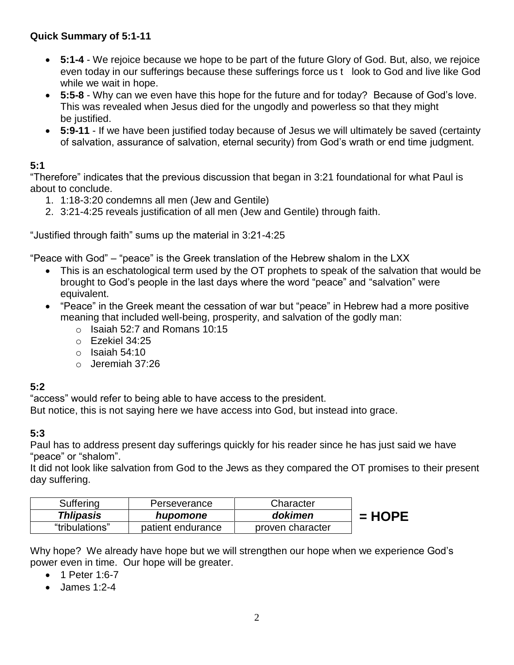## **Quick Summary of 5:1-11**

- **5:1-4** We rejoice because we hope to be part of the future Glory of God. But, also, we rejoice even today in our sufferings because these sufferings force us t look to God and live like God while we wait in hope.
- **5:5-8** Why can we even have this hope for the future and for today? Because of God's love. This was revealed when Jesus died for the ungodly and powerless so that they might be justified.
- **5:9-11** If we have been justified today because of Jesus we will ultimately be saved (certainty of salvation, assurance of salvation, eternal security) from God's wrath or end time judgment.

## **5:1**

"Therefore" indicates that the previous discussion that began in 3:21 foundational for what Paul is about to conclude.

- 1. 1:18-3:20 condemns all men (Jew and Gentile)
- 2. 3:21-4:25 reveals justification of all men (Jew and Gentile) through faith.

"Justified through faith" sums up the material in 3:21-4:25

"Peace with God" – "peace" is the Greek translation of the Hebrew shalom in the LXX

- This is an eschatological term used by the OT prophets to speak of the salvation that would be brought to God's people in the last days where the word "peace" and "salvation" were equivalent.
- "Peace" in the Greek meant the cessation of war but "peace" in Hebrew had a more positive meaning that included well-being, prosperity, and salvation of the godly man:
	- $\circ$  Isaiah 52:7 and Romans 10:15
	- o Ezekiel 34:25
	- $\circ$  Isaiah 54:10
	- o Jeremiah 37:26

## **5:2**

"access" would refer to being able to have access to the president.

But notice, this is not saying here we have access into God, but instead into grace.

## **5:3**

Paul has to address present day sufferings quickly for his reader since he has just said we have "peace" or "shalom".

It did not look like salvation from God to the Jews as they compared the OT promises to their present day suffering.

| Suffering        | Perseverance      | Character        |          |
|------------------|-------------------|------------------|----------|
| <b>Thlipasis</b> | hupomone          | dokimen          | $= HOPE$ |
| "tribulations"   | patient endurance | proven character |          |

Why hope? We already have hope but we will strengthen our hope when we experience God's power even in time. Our hope will be greater.

- 1 Peter 1:6-7
- James 1:2-4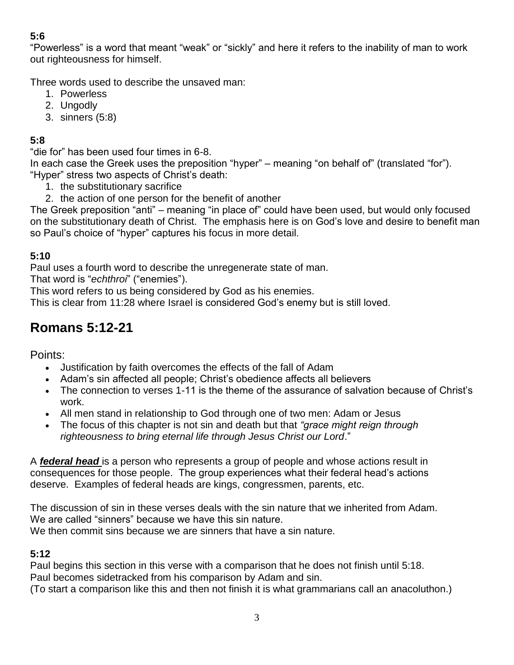## **5:6**

"Powerless" is a word that meant "weak" or "sickly" and here it refers to the inability of man to work out righteousness for himself.

Three words used to describe the unsaved man:

- 1. Powerless
- 2. Ungodly
- 3. sinners (5:8)

## **5:8**

"die for" has been used four times in 6-8.

In each case the Greek uses the preposition "hyper" – meaning "on behalf of" (translated "for"). "Hyper" stress two aspects of Christ's death:

- 1. the substitutionary sacrifice
- 2. the action of one person for the benefit of another

The Greek preposition "anti" – meaning "in place of" could have been used, but would only focused on the substitutionary death of Christ. The emphasis here is on God's love and desire to benefit man so Paul's choice of "hyper" captures his focus in more detail.

## **5:10**

Paul uses a fourth word to describe the unregenerate state of man.

That word is "*echthroi*" ("enemies").

This word refers to us being considered by God as his enemies.

This is clear from 11:28 where Israel is considered God's enemy but is still loved.

## **Romans 5:12-21**

Points:

- Justification by faith overcomes the effects of the fall of Adam
- Adam's sin affected all people; Christ's obedience affects all believers
- The connection to verses 1-11 is the theme of the assurance of salvation because of Christ's work.
- All men stand in relationship to God through one of two men: Adam or Jesus
- The focus of this chapter is not sin and death but that *"grace might reign through righteousness to bring eternal life through Jesus Christ our Lord*."

A *federal head* is a person who represents a group of people and whose actions result in consequences for those people. The group experiences what their federal head's actions deserve. Examples of federal heads are kings, congressmen, parents, etc.

The discussion of sin in these verses deals with the sin nature that we inherited from Adam. We are called "sinners" because we have this sin nature. We then commit sins because we are sinners that have a sin nature.

## **5:12**

Paul begins this section in this verse with a comparison that he does not finish until 5:18. Paul becomes sidetracked from his comparison by Adam and sin.

(To start a comparison like this and then not finish it is what grammarians call an anacoluthon.)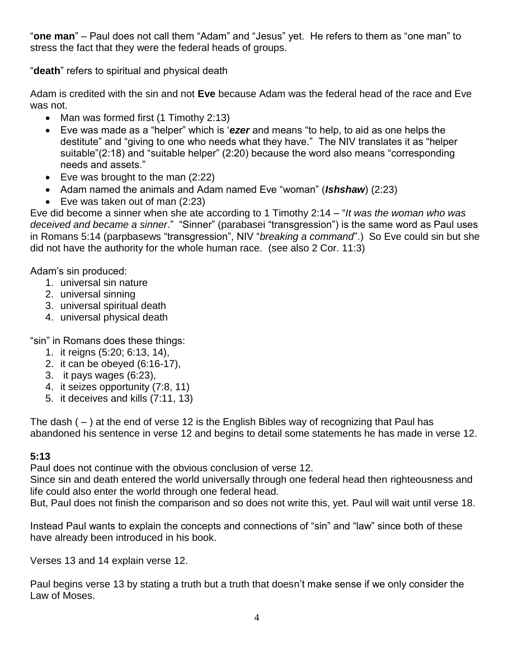"**one man**" – Paul does not call them "Adam" and "Jesus" yet. He refers to them as "one man" to stress the fact that they were the federal heads of groups.

"**death**" refers to spiritual and physical death

Adam is credited with the sin and not **Eve** because Adam was the federal head of the race and Eve was not.

- Man was formed first (1 Timothy 2:13)
- Eve was made as a "helper" which is '*ezer* and means "to help, to aid as one helps the destitute" and "giving to one who needs what they have." The NIV translates it as "helper suitable"(2:18) and "suitable helper" (2:20) because the word also means "corresponding needs and assets."
- Eve was brought to the man  $(2:22)$
- Adam named the animals and Adam named Eve "woman" (**Ishshaw**) (2:23)
- Eve was taken out of man  $(2:23)$

Eve did become a sinner when she ate according to 1 Timothy 2:14 – "*It was the woman who was deceived and became a sinner*." "Sinner" (parabasei "transgression") is the same word as Paul uses in Romans 5:14 (parpbasews "transgression", NIV "*breaking a command*".) So Eve could sin but she did not have the authority for the whole human race. (see also 2 Cor. 11:3)

Adam's sin produced:

- 1. universal sin nature
- 2. universal sinning
- 3. universal spiritual death
- 4. universal physical death

"sin" in Romans does these things:

- 1. it reigns (5:20; 6:13, 14),
- 2. it can be obeyed (6:16-17),
- 3. it pays wages (6:23),
- 4. it seizes opportunity (7:8, 11)
- 5. it deceives and kills (7:11, 13)

The dash  $(-)$  at the end of verse 12 is the English Bibles way of recognizing that Paul has abandoned his sentence in verse 12 and begins to detail some statements he has made in verse 12.

#### **5:13**

Paul does not continue with the obvious conclusion of verse 12.

Since sin and death entered the world universally through one federal head then righteousness and life could also enter the world through one federal head.

But, Paul does not finish the comparison and so does not write this, yet. Paul will wait until verse 18.

Instead Paul wants to explain the concepts and connections of "sin" and "law" since both of these have already been introduced in his book.

Verses 13 and 14 explain verse 12.

Paul begins verse 13 by stating a truth but a truth that doesn't make sense if we only consider the Law of Moses.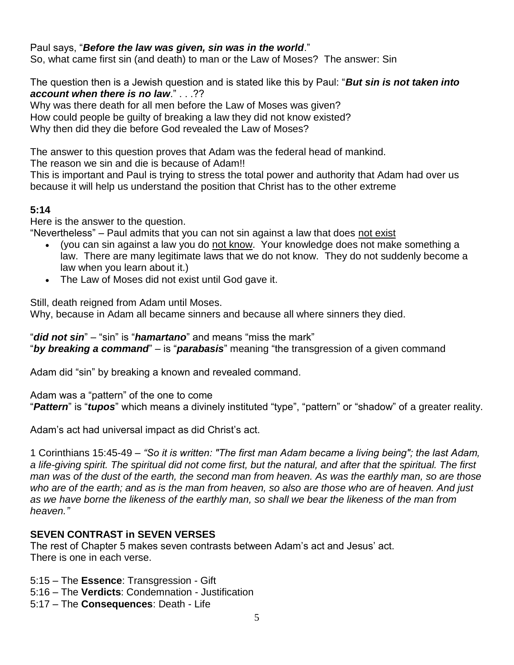#### Paul says, "*Before the law was given, sin was in the world*."

So, what came first sin (and death) to man or the Law of Moses? The answer: Sin

The question then is a Jewish question and is stated like this by Paul: "*But sin is not taken into account when there is no law*." . . .??

Why was there death for all men before the Law of Moses was given? How could people be guilty of breaking a law they did not know existed? Why then did they die before God revealed the Law of Moses?

The answer to this question proves that Adam was the federal head of mankind. The reason we sin and die is because of Adam!!

This is important and Paul is trying to stress the total power and authority that Adam had over us because it will help us understand the position that Christ has to the other extreme

#### **5:14**

Here is the answer to the question.

"Nevertheless" – Paul admits that you can not sin against a law that does not exist

- (you can sin against a law you do not know. Your knowledge does not make something a law. There are many legitimate laws that we do not know. They do not suddenly become a law when you learn about it.)
- The Law of Moses did not exist until God gave it.

Still, death reigned from Adam until Moses.

Why, because in Adam all became sinners and because all where sinners they died.

"*did not sin*" – "sin" is "*hamartano*" and means "miss the mark" "*by breaking a command*" – is "*parabasis*" meaning "the transgression of a given command

Adam did "sin" by breaking a known and revealed command.

Adam was a "pattern" of the one to come

"*Pattern*" is "*tupos*" which means a divinely instituted "type", "pattern" or "shadow" of a greater reality.

Adam's act had universal impact as did Christ's act.

1 Corinthians 15:45-49 – *"So it is written: "The first man Adam became a living being"; the last Adam, a life-giving spirit. The spiritual did not come first, but the natural, and after that the spiritual. The first man was of the dust of the earth, the second man from heaven. As was the earthly man, so are those who are of the earth; and as is the man from heaven, so also are those who are of heaven. And just as we have borne the likeness of the earthly man, so shall we bear the likeness of the man from heaven."*

#### **SEVEN CONTRAST in SEVEN VERSES**

The rest of Chapter 5 makes seven contrasts between Adam's act and Jesus' act. There is one in each verse.

5:15 – The **Essence**: Transgression - Gift

- 5:16 The **Verdicts**: Condemnation Justification
- 5:17 The **Consequences**: Death Life